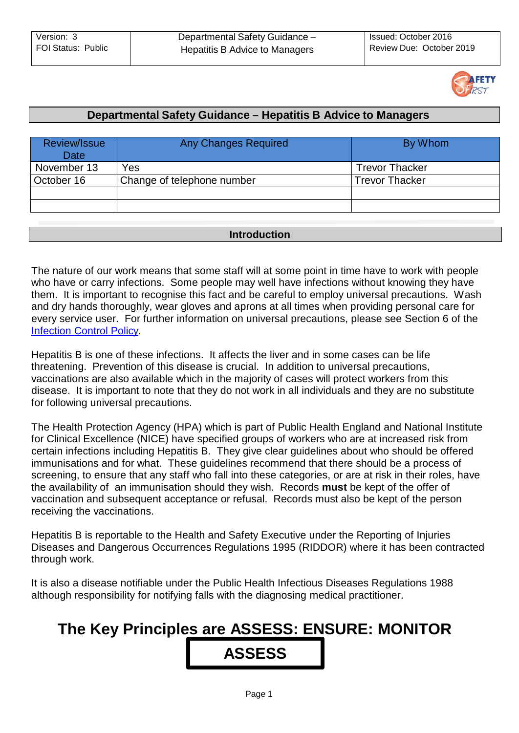

### **Departmental Safety Guidance – Hepatitis B Advice to Managers**

| Review/Issue<br>Date | <b>Any Changes Required</b> | By Whom               |
|----------------------|-----------------------------|-----------------------|
| November 13          | Yes                         | <b>Trevor Thacker</b> |
| October 16           | Change of telephone number  | <b>Trevor Thacker</b> |
|                      |                             |                       |
|                      |                             |                       |

### **Introduction**

The nature of our work means that some staff will at some point in time have to work with people who have or carry infections. Some people may well have infections without knowing they have them. It is important to recognise this fact and be careful to employ universal precautions. Wash and dry hands thoroughly, wear gloves and aprons at all times when providing personal care for every service user. For further information on universal precautions, please see Section 6 of the [Infection](http://dnet/policies_and_procedures/older_adults/adult_care/direct_care/hands/default.asp) Control Policy.

Hepatitis B is one of these infections. It affects the liver and in some cases can be life threatening. Prevention of this disease is crucial. In addition to universal precautions, vaccinations are also available which in the majority of cases will protect workers from this disease. It is important to note that they do not work in all individuals and they are no substitute for following universal precautions.

The Health Protection Agency (HPA) which is part of Public Health England and National Institute for Clinical Excellence (NICE) have specified groups of workers who are at increased risk from certain infections including Hepatitis B. They give clear guidelines about who should be offered immunisations and for what. These guidelines recommend that there should be a process of screening, to ensure that any staff who fall into these categories, or are at risk in their roles, have the availability of an immunisation should they wish. Records **must** be kept of the offer of vaccination and subsequent acceptance or refusal. Records must also be kept of the person receiving the vaccinations.

Hepatitis B is reportable to the Health and Safety Executive under the Reporting of Injuries Diseases and Dangerous Occurrences Regulations 1995 (RIDDOR) where it has been contracted through work.

It is also a disease notifiable under the Public Health Infectious Diseases Regulations 1988 although responsibility for notifying falls with the diagnosing medical practitioner.

# **The Key Principles are ASSESS: ENSURE: MONITOR ASSESS**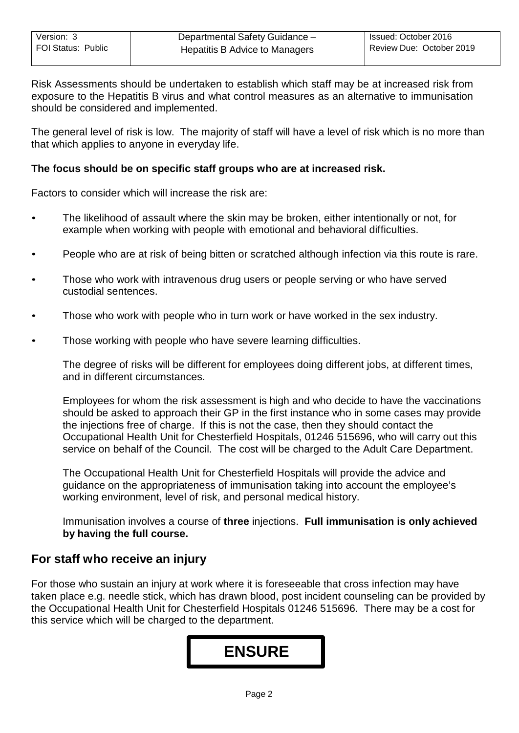Risk Assessments should be undertaken to establish which staff may be at increased risk from exposure to the Hepatitis B virus and what control measures as an alternative to immunisation should be considered and implemented.

The general level of risk is low. The majority of staff will have a level of risk which is no more than that which applies to anyone in everyday life.

#### **The focus should be on specific staff groups who are at increased risk.**

Factors to consider which will increase the risk are:

- The likelihood of assault where the skin may be broken, either intentionally or not, for example when working with people with emotional and behavioral difficulties.
- People who are at risk of being bitten or scratched although infection via this route is rare.
- Those who work with intravenous drug users or people serving or who have served custodial sentences.
- Those who work with people who in turn work or have worked in the sex industry.
- Those working with people who have severe learning difficulties.

The degree of risks will be different for employees doing different jobs, at different times, and in different circumstances.

Employees for whom the risk assessment is high and who decide to have the vaccinations should be asked to approach their GP in the first instance who in some cases may provide the injections free of charge. If this is not the case, then they should contact the Occupational Health Unit for Chesterfield Hospitals, 01246 515696, who will carry out this service on behalf of the Council. The cost will be charged to the Adult Care Department.

The Occupational Health Unit for Chesterfield Hospitals will provide the advice and guidance on the appropriateness of immunisation taking into account the employee's working environment, level of risk, and personal medical history.

Immunisation involves a course of **three** injections. **Full immunisation is only achieved by having the full course.**

## **For staff who receive an injury**

For those who sustain an injury at work where it is foreseeable that cross infection may have taken place e.g. needle stick, which has drawn blood, post incident counseling can be provided by the Occupational Health Unit for Chesterfield Hospitals 01246 515696. There may be a cost for this service which will be charged to the department.